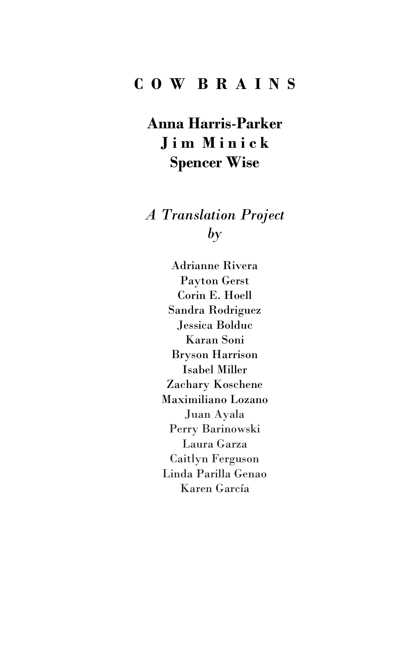# **C O W B R A I N S**

**Anna Harris**-**Parker J i m M i n i c k Spencer Wise**

*A Translation Project by*

> Adrianne Rivera Payton Gerst Corin E. Hoell Sandra Rodriguez Jessica Bolduc Karan Soni Bryson Harrison Isabel Miller Zachary Koschene Maximiliano Lozano Juan Ayala Perry Barinowski Laura Garza Caitlyn Ferguson Linda Parilla Genao Karen García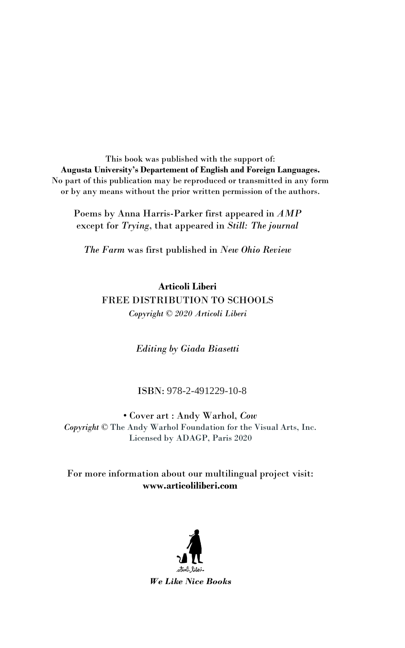This book was published with the support of: **Augusta University's Departement of English and Foreign Languages.** No part of this publication may be reproduced or transmitted in any form or by any means without the prior written permission of the authors.

Poems by Anna Harris-Parker first appeared in *AMP* except for *Trying*, that appeared in *Still: The journal*

*The Farm* was first published in *New Ohio Review*

**Articoli Liberi** FREE DISTRIBUTION TO SCHOOLS *Copyright © 2020 Articoli Liberi*

*Editing by Giada Biasetti*

#### ISBN: 978-2-491229-10-8

• Cover art : Andy Warhol, *Cow Copyright* © The Andy Warhol Foundation for the Visual Arts, Inc. Licensed by ADAGP, Paris 2020

#### For more information about our multilingual project visit: **www.articoliliberi.com**

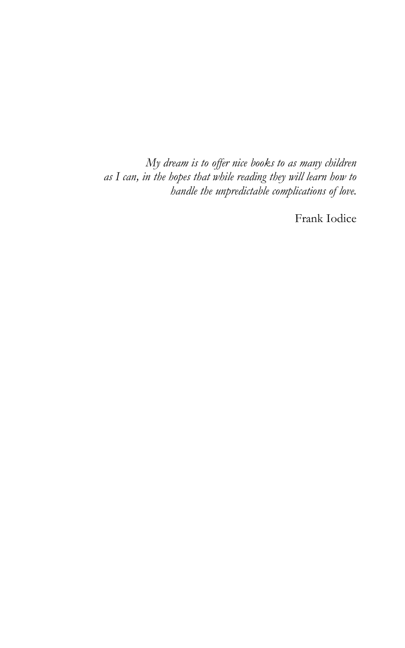*My dream is to offer nice books to as many children as I can, in the hopes that while reading they will learn how to handle the unpredictable complications of love.*

Frank Iodice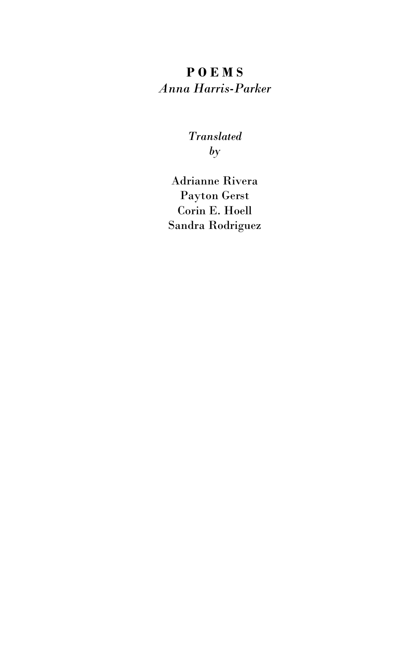## **P O E M S** *Anna Harris-Parker*

### *Translated by*

Adrianne Rivera Payton Gerst Corin E. Hoell Sandra Rodriguez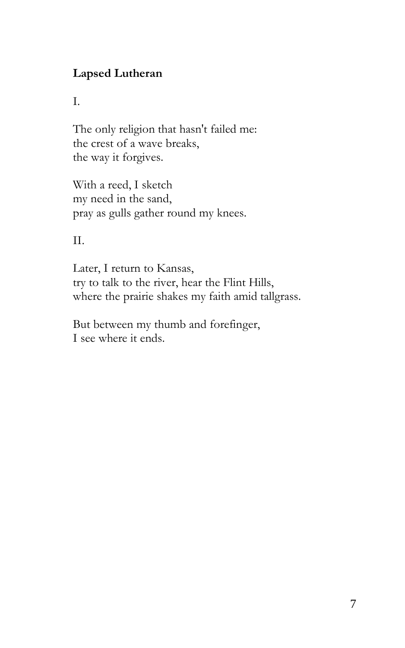### **Lapsed Lutheran**

I.

The only religion that hasn't failed me: the crest of a wave breaks, the way it forgives.

With a reed, I sketch my need in the sand, pray as gulls gather round my knees.

II.

Later, I return to Kansas, try to talk to the river, hear the Flint Hills, where the prairie shakes my faith amid tallgrass.

But between my thumb and forefinger, I see where it ends.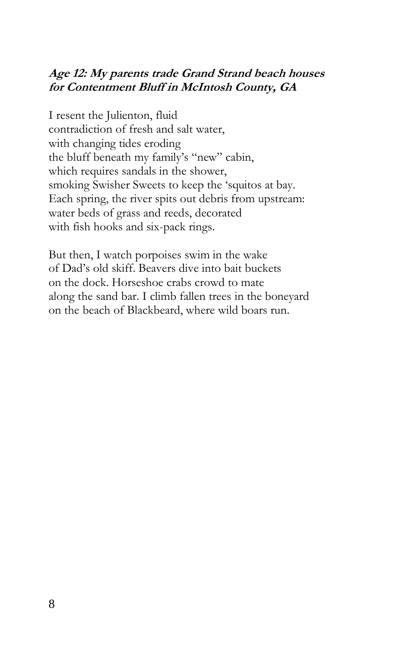### **Age 12: My parents trade Grand Strand beach houses for Contentment Bluff in McIntosh County, GA**

I resent the Julienton, fluid contradiction of fresh and salt water, with changing tides eroding the bluff beneath my family's "new" cabin, which requires sandals in the shower, smoking Swisher Sweets to keep the 'squitos at bay. Each spring, the river spits out debris from upstream: water beds of grass and reeds, decorated with fish hooks and six-pack rings.

But then, I watch porpoises swim in the wake of Dad's old skiff. Beavers dive into bait buckets on the dock. Horseshoe crabs crowd to mate along the sand bar. I climb fallen trees in the boneyard on the beach of Blackbeard, where wild boars run.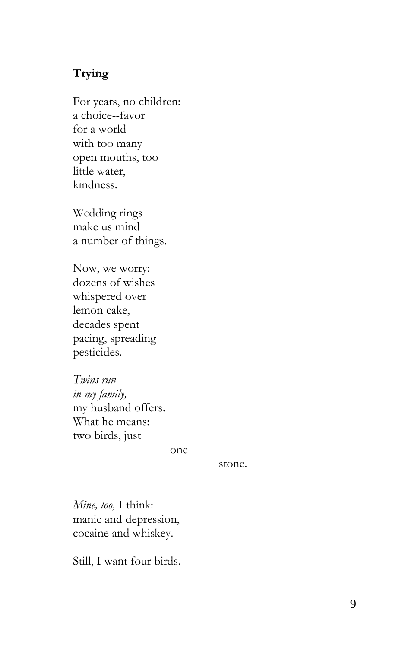#### **Trying**

For years, no children: a choice--favor for a world with too many open mouths, too little water, kindness.

Wedding rings make us mind a number of things.

Now, we worry: dozens of wishes whispered over lemon cake, decades spent pacin g, sp reading pesticides.

*Twins run in my family,* my husband offers. What he means: two birds, just

one

stone.

*Mine, too,* I think: manic and depression, cocaine and whiskey.

Still, I want four birds.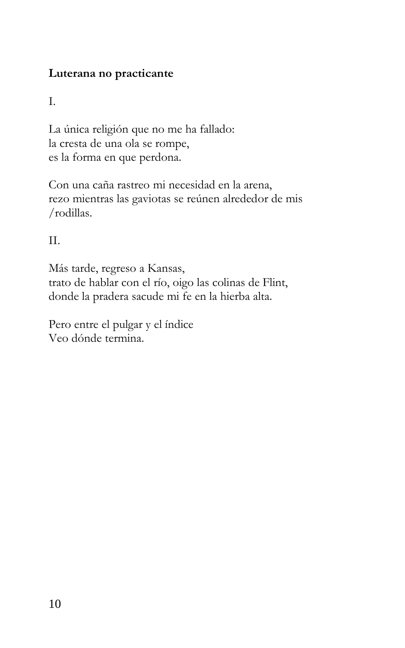### **Luterana no practicante**

I.

La única religión que no me ha fallado: la cresta de una ola se rompe, es la forma en que perdona.

Con una caña rastreo mi necesidad en la arena, rezo mientras las gaviotas se reúnen alrededor de mis /rodillas.

II.

Más tarde, regreso a Kansas, trato de hablar con el río, oigo las colinas de Flint, donde la pradera sacude mi fe en la hierba alta.

Pero entre el pulgar y el índice Veo dónde termina.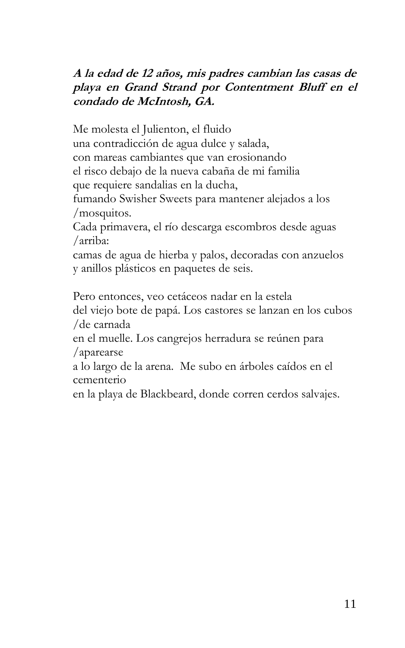### **A la edad de 12 años, mis padres cambian las casas de playa en Grand Strand por Contentment Bluff en el condado de McIntosh, GA.**

Me molesta el Julienton, el fluido una contradicción de agua dulce y salada, con mareas cambiantes que van erosionando el risco debajo de la nueva cabaña de mi familia que requiere sandalias en la ducha, fumando Swisher Sweets para mantener alejados a los /mosquitos.

Cada primavera, el río descarga escombros desde aguas /arriba:

camas de agua de hierba y palos, decoradas con anzuelos y anillos plásticos en paquetes de seis.

Pero entonces, veo cetáceos nadar en la estela del viejo bote de papá. Los castores se lanzan en los cubos /de carnada

en el muelle. Los cangrejos herradura se reúnen para /aparearse

a lo largo de la arena. Me subo en árboles caídos en el cementerio

en la playa de Blackbeard, donde corren cerdos salvajes.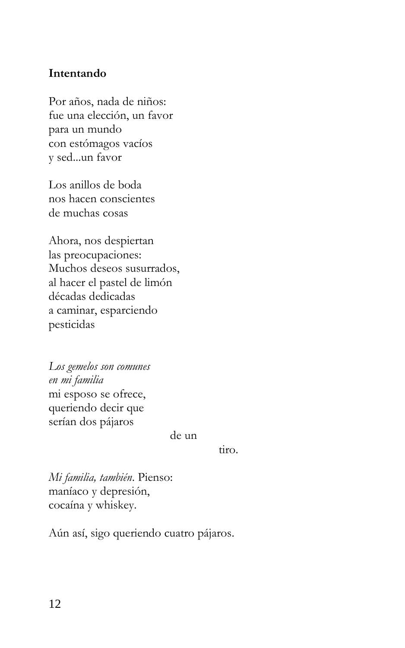#### **Intentando**

Por años, nada de niños: fue una elección, un favor para un mundo con estómagos vacíos y sed...un favor

Los anillos de boda nos hacen conscientes de muchas cosas

Ahora, nos despiertan las preocupaciones: Muchos deseos susurrados, al hacer el pastel de limón décadas dedicadas a caminar, esparciendo pesticidas

*Los gemelos son comunes en mi familia*  mi esposo se ofrece, queriendo decir que serían dos pájaros

de un

tiro.

*Mi familia, también*. Pienso: maníaco y depresión, cocaína y whiskey.

Aún así, sigo queriendo cuatro pájaros.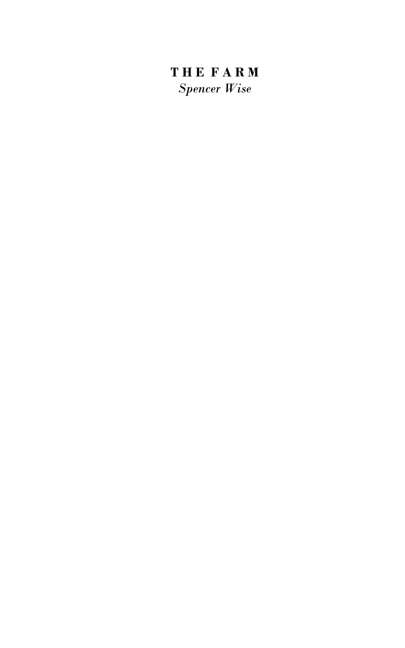# **T H E F A R M** *Spencer Wise*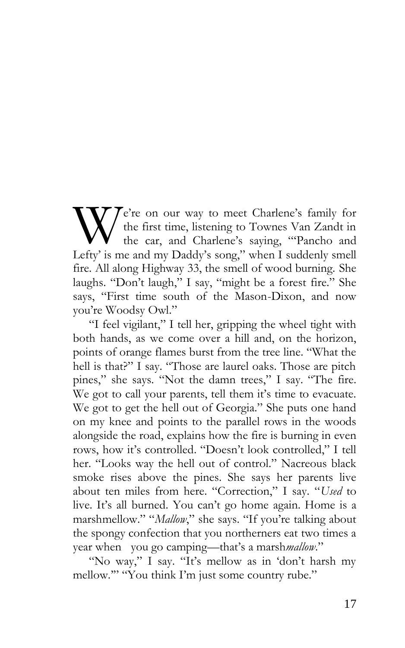$\mathcal{T}$   $\mathcal{T}$  e're on our way to meet Charlene's family for the first time, listening to Townes Van Zandt in the car, and Charlene's saying, "'Pancho and We're on our way to meet Charlene's family for<br>the first time, listening to Townes Van Zandt in<br>Lefty' is me and my Daddy's song," when I suddenly smell fire. All along Highway 33, the smell of wood burning. She laughs. "Don't laugh," I say, "might be a forest fire." She says, "First time south of the Mason-Dixon, and now you're Woodsy Owl."

"I feel vigilant," I tell her, gripping the wheel tight with both hands, as we come over a hill and, on the horizon, points of orange flames burst from the tree line. "What the hell is that?" I say. "Those are laurel oaks. Those are pitch pines," she says. "Not the damn trees," I say. "The fire. We got to call your parents, tell them it's time to evacuate. We got to get the hell out of Georgia." She puts one hand on my knee and points to the parallel rows in the woods alongside the road, explains how the fire is burning in even rows, how it's controlled. "Doesn't look controlled," I tell her. "Looks way the hell out of control." Nacreous black smoke rises above the pines. She says her parents live about ten miles from here. "Correction," I say. "*Used* to live. It's all burned. You can't go home again. Home is a marshmellow." "*Mallow*," she says. "If you're talking about the spongy confection that you northerners eat two times a year when you go camping—that's a marsh*mallow*."

"No way," I say. "It's mellow as in 'don't harsh my mellow.'" "You think I'm just some country rube."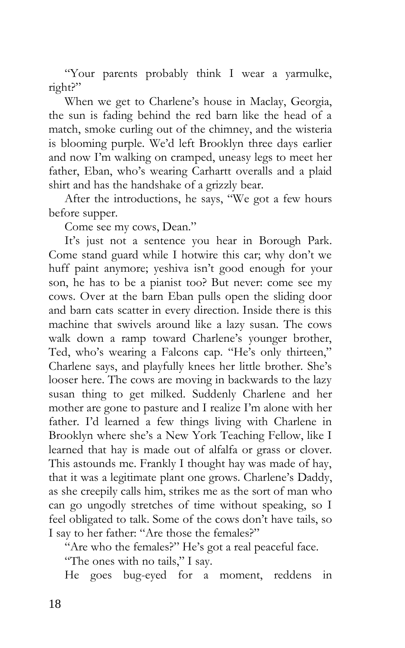"Your parents probably think I wear a yarmulke, right?"

When we get to Charlene's house in Maclay, Georgia, the sun is fading behind the red barn like the head of a match, smoke curling out of the chimney, and the wisteria is blooming purple. We'd left Brooklyn three days earlier and now I'm walking on cramped, uneasy legs to meet her father, Eban, who's wearing Carhartt overalls and a plaid shirt and has the handshake of a grizzly bear.

After the introductions, he says, "We got a few hours before supper.

Come see my cows, Dean."

It's just not a sentence you hear in Borough Park. Come stand guard while I hotwire this car; why don't we huff paint anymore; yeshiva isn't good enough for your son, he has to be a pianist too? But never: come see my cows. Over at the barn Eban pulls open the sliding door and barn cats scatter in every direction. Inside there is this machine that swivels around like a lazy susan. The cows walk down a ramp toward Charlene's younger brother, Ted, who's wearing a Falcons cap. "He's only thirteen," Charlene says, and playfully knees her little brother. She's looser here. The cows are moving in backwards to the lazy susan thing to get milked. Suddenly Charlene and her mother are gone to pasture and I realize I'm alone with her father. I'd learned a few things living with Charlene in Brooklyn where she's a New York Teaching Fellow, like I learned that hay is made out of alfalfa or grass or clover. This astounds me. Frankly I thought hay was made of hay, that it was a legitimate plant one grows. Charlene's Daddy, as she creepily calls him, strikes me as the sort of man who can go ungodly stretches of time without speaking, so I feel obligated to talk. Some of the cows don't have tails, so I say to her father: "Are those the females?"

"Are who the females?" He's got a real peaceful face.

"The ones with no tails," I say.

He goes bug-eyed for a moment, reddens in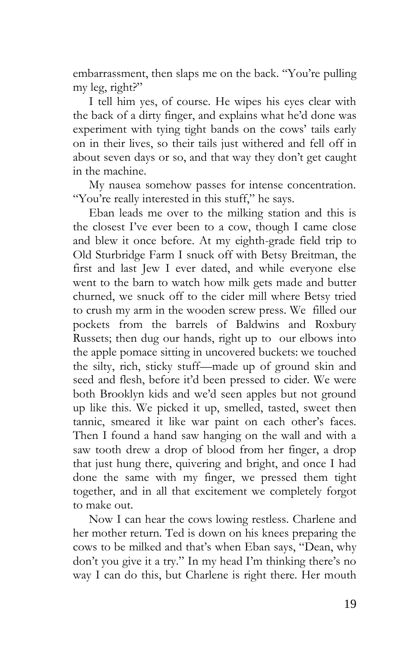embarrassment, then slaps me on the back. "You're pulling my leg, right?"

I tell him yes, of course. He wipes his eyes clear with the back of a dirty finger, and explains what he'd done was experiment with tying tight bands on the cows' tails early on in their lives, so their tails just withered and fell off in about seven days or so, and that way they don't get caught in the machine.

My nausea somehow passes for intense concentration. "You're really interested in this stuff," he says.

Eban leads me over to the milking station and this is the closest I've ever been to a cow, though I came close and blew it once before. At my eighth-grade field trip to Old Sturbridge Farm I snuck off with Betsy Breitman, the first and last Jew I ever dated, and while everyone else went to the barn to watch how milk gets made and butter churned, we snuck off to the cider mill where Betsy tried to crush my arm in the wooden screw press. We filled our pockets from the barrels of Baldwins and Roxbury Russets; then dug our hands, right up to our elbows into the apple pomace sitting in uncovered buckets: we touched the silty, rich, sticky stuff—made up of ground skin and seed and flesh, before it'd been pressed to cider. We were both Brooklyn kids and we'd seen apples but not ground up like this. We picked it up, smelled, tasted, sweet then tannic, smeared it like war paint on each other's faces. Then I found a hand saw hanging on the wall and with a saw tooth drew a drop of blood from her finger, a drop that just hung there, quivering and bright, and once I had done the same with my finger, we pressed them tight together, and in all that excitement we completely forgot to make out.

Now I can hear the cows lowing restless. Charlene and her mother return. Ted is down on his knees preparing the cows to be milked and that's when Eban says, "Dean, why don't you give it a try." In my head I'm thinking there's no way I can do this, but Charlene is right there. Her mouth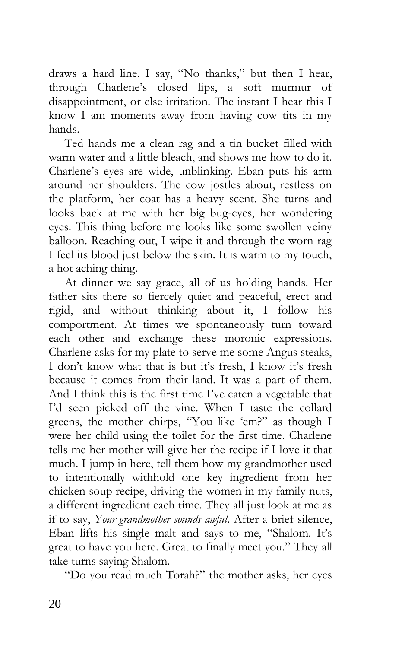draws a hard line. I say, "No thanks," but then I hear, through Charlene's closed lips, a soft murmur of disappointment, or else irritation. The instant I hear this I know I am moments away from having cow tits in my hands.

Ted hands me a clean rag and a tin bucket filled with warm water and a little bleach, and shows me how to do it. Charlene's eyes are wide, unblinking. Eban puts his arm around her shoulders. The cow jostles about, restless on the platform, her coat has a heavy scent. She turns and looks back at me with her big bug-eyes, her wondering eyes. This thing before me looks like some swollen veiny balloon. Reaching out, I wipe it and through the worn rag I feel its blood just below the skin. It is warm to my touch, a hot aching thing.

At dinner we say grace, all of us holding hands. Her father sits there so fiercely quiet and peaceful, erect and rigid, and without thinking about it, I follow his comportment. At times we spontaneously turn toward each other and exchange these moronic expressions. Charlene asks for my plate to serve me some Angus steaks, I don't know what that is but it's fresh, I know it's fresh because it comes from their land. It was a part of them. And I think this is the first time I've eaten a vegetable that I'd seen picked off the vine. When I taste the collard greens, the mother chirps, "You like 'em?" as though I were her child using the toilet for the first time. Charlene tells me her mother will give her the recipe if I love it that much. I jump in here, tell them how my grandmother used to intentionally withhold one key ingredient from her chicken soup recipe, driving the women in my family nuts, a different ingredient each time. They all just look at me as if to say, *Your grandmother sounds awful*. After a brief silence, Eban lifts his single malt and says to me, "Shalom. It's great to have you here. Great to finally meet you." They all take turns saying Shalom.

"Do you read much Torah?" the mother asks, her eyes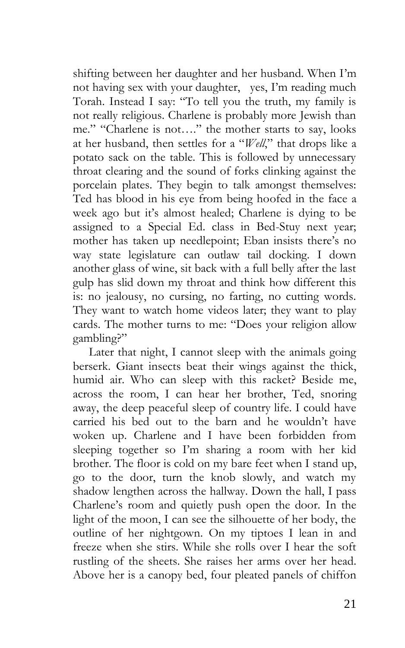shifting between her daughter and her husband. When I'm not having sex with your daughter, yes, I'm reading much Torah. Instead I say: "To tell you the truth, my family is not really religious. Charlene is probably more Jewish than me." "Charlene is not…." the mother starts to say, looks at her husband, then settles for a "*Well*," that drops like a potato sack on the table. This is followed by unnecessary throat clearing and the sound of forks clinking against the porcelain plates. They begin to talk amongst themselves: Ted has blood in his eye from being hoofed in the face a week ago but it's almost healed; Charlene is dying to be assigned to a Special Ed. class in Bed-Stuy next year; mother has taken up needlepoint; Eban insists there's no way state legislature can outlaw tail docking. I down another glass of wine, sit back with a full belly after the last gulp has slid down my throat and think how different this is: no jealousy, no cursing, no farting, no cutting words. They want to watch home videos later; they want to play cards. The mother turns to me: "Does your religion allow gambling?"

Later that night, I cannot sleep with the animals going berserk. Giant insects beat their wings against the thick, humid air. Who can sleep with this racket? Beside me, across the room, I can hear her brother, Ted, snoring away, the deep peaceful sleep of country life. I could have carried his bed out to the barn and he wouldn't have woken up. Charlene and I have been forbidden from sleeping together so I'm sharing a room with her kid brother. The floor is cold on my bare feet when I stand up, go to the door, turn the knob slowly, and watch my shadow lengthen across the hallway. Down the hall, I pass Charlene's room and quietly push open the door. In the light of the moon, I can see the silhouette of her body, the outline of her nightgown. On my tiptoes I lean in and freeze when she stirs. While she rolls over I hear the soft rustling of the sheets. She raises her arms over her head. Above her is a canopy bed, four pleated panels of chiffon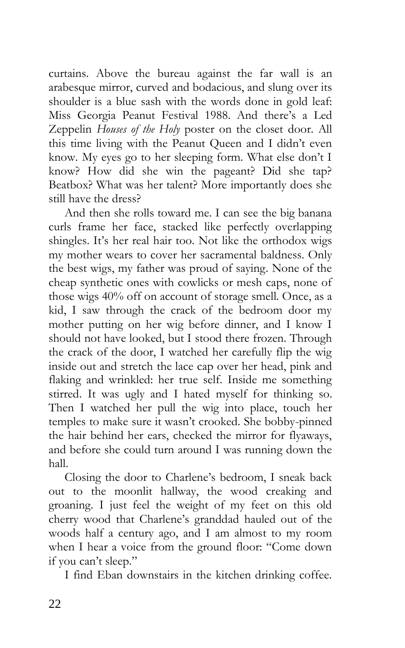curtains. Above the bureau against the far wall is an arabesque mirror, curved and bodacious, and slung over its shoulder is a blue sash with the words done in gold leaf: Miss Georgia Peanut Festival 1988. And there's a Led Zeppelin *Houses of the Holy* poster on the closet door. All this time living with the Peanut Queen and I didn't even know. My eyes go to her sleeping form. What else don't I know? How did she win the pageant? Did she tap? Beatbox? What was her talent? More importantly does she still have the dress?

And then she rolls toward me. I can see the big banana curls frame her face, stacked like perfectly overlapping shingles. It's her real hair too. Not like the orthodox wigs my mother wears to cover her sacramental baldness. Only the best wigs, my father was proud of saying. None of the cheap synthetic ones with cowlicks or mesh caps, none of those wigs 40% off on account of storage smell. Once, as a kid, I saw through the crack of the bedroom door my mother putting on her wig before dinner, and I know I should not have looked, but I stood there frozen. Through the crack of the door, I watched her carefully flip the wig inside out and stretch the lace cap over her head, pink and flaking and wrinkled: her true self. Inside me something stirred. It was ugly and I hated myself for thinking so. Then I watched her pull the wig into place, touch her temples to make sure it wasn't crooked. She bobby-pinned the hair behind her ears, checked the mirror for flyaways, and before she could turn around I was running down the hall.

Closing the door to Charlene's bedroom, I sneak back out to the moonlit hallway, the wood creaking and groaning. I just feel the weight of my feet on this old cherry wood that Charlene's granddad hauled out of the woods half a century ago, and I am almost to my room when I hear a voice from the ground floor: "Come down if you can't sleep."

I find Eban downstairs in the kitchen drinking coffee.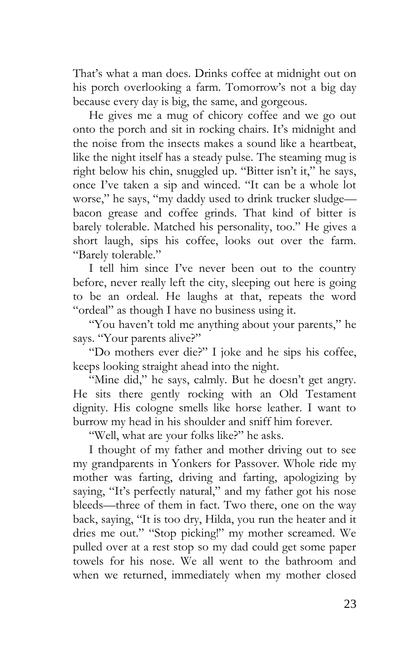That's what a man does. Drinks coffee at midnight out on his porch overlooking a farm. Tomorrow's not a big day because every day is big, the same, and gorgeous.

He gives me a mug of chicory coffee and we go out onto the porch and sit in rocking chairs. It's midnight and the noise from the insects makes a sound like a heartbeat, like the night itself has a steady pulse. The steaming mug is right below his chin, snuggled up. "Bitter isn't it," he says, once I've taken a sip and winced. "It can be a whole lot worse," he says, "my daddy used to drink trucker sludge bacon grease and coffee grinds. That kind of bitter is barely tolerable. Matched his personality, too." He gives a short laugh, sips his coffee, looks out over the farm. "Barely tolerable."

I tell him since I've never been out to the country before, never really left the city, sleeping out here is going to be an ordeal. He laughs at that, repeats the word "ordeal" as though I have no business using it.

"You haven't told me anything about your parents," he says. "Your parents alive?"

"Do mothers ever die?" I joke and he sips his coffee, keeps looking straight ahead into the night.

"Mine did," he says, calmly. But he doesn't get angry. He sits there gently rocking with an Old Testament dignity. His cologne smells like horse leather. I want to burrow my head in his shoulder and sniff him forever.

"Well, what are your folks like?" he asks.

I thought of my father and mother driving out to see my grandparents in Yonkers for Passover. Whole ride my mother was farting, driving and farting, apologizing by saying, "It's perfectly natural," and my father got his nose bleeds—three of them in fact. Two there, one on the way back, saying, "It is too dry, Hilda, you run the heater and it dries me out." "Stop picking!" my mother screamed. We pulled over at a rest stop so my dad could get some paper towels for his nose. We all went to the bathroom and when we returned, immediately when my mother closed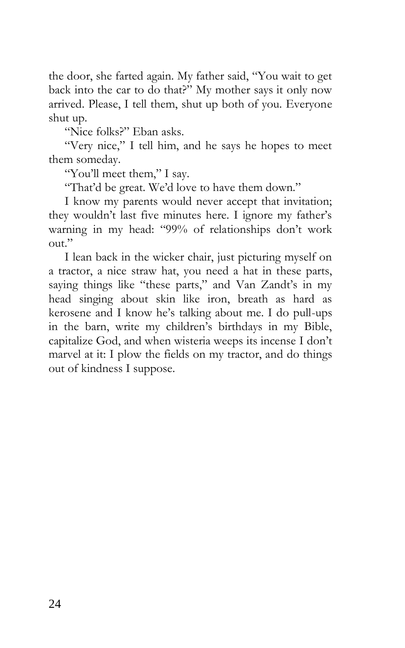the door, she farted again. My father said, "You wait to get back into the car to do that?" My mother says it only now arrived. Please, I tell them, shut up both of you. Everyone shut up.

"Nice folks?" Eban asks.

"Very nice," I tell him, and he says he hopes to meet them someday.

"You'll meet them," I say.

"That'd be great. We'd love to have them down."

I know my parents would never accept that invitation; they wouldn't last five minutes here. I ignore my father's warning in my head: "99% of relationships don't work out."

I lean back in the wicker chair, just picturing myself on a tractor, a nice straw hat, you need a hat in these parts, saying things like "these parts," and Van Zandt's in my head singing about skin like iron, breath as hard as kerosene and I know he's talking about me. I do pull-ups in the barn, write my children's birthdays in my Bible, capitalize God, and when wisteria weeps its incense I don't marvel at it: I plow the fields on my tractor, and do things out of kindness I suppose.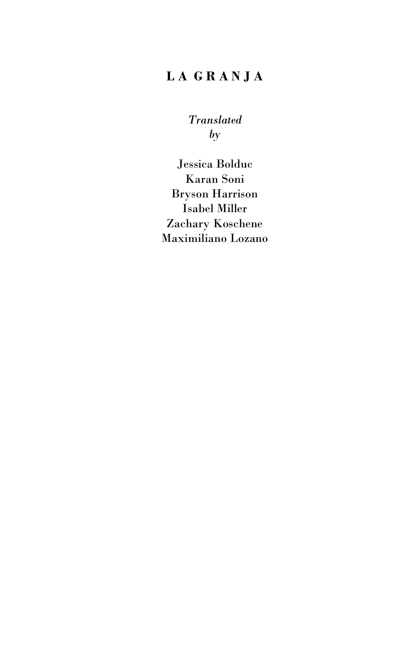### **L A G R A N J A**

*Translated by*

Jessica Bolduc Karan Soni Bryson Harrison Isabel Miller Zachary Koschene Maximiliano Lozano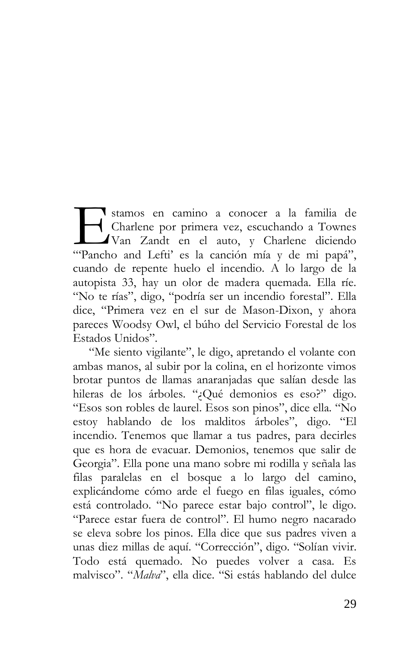stamos en camino a conocer a la familia de Charlene por primera vez, escuchando a Townes Van Zandt en el auto, y Charlene diciendo "Pancho and Lefti' es la canción mía y de mi papá", cuando de repente huelo el incendio. A lo largo de la autopista 33, hay un olor de madera quemada. Ella ríe. "No te rías", digo, "podría ser un incendio forestal". Ella dice, "Primera vez en el sur de Mason-Dixon, y ahora pareces Woodsy Owl, el búho del Servicio Forestal de los Estados Unidos".  $\prod$  ("Panch")

"Me siento vigilante", le digo, apretando el volante con ambas manos, al subir por la colina, en el horizonte vimos brotar puntos de llamas anaranjadas que salían desde las hileras de los árboles. "¿Qué demonios es eso?" digo. "Esos son robles de laurel. Esos son pinos", dice ella. "No estoy hablando de los malditos árboles", digo. "El incendio. Tenemos que llamar a tus padres, para decirles que es hora de evacuar. Demonios, tenemos que salir de Georgia". Ella pone una mano sobre mi rodilla y señala las filas paralelas en el bosque a lo largo del camino, explicándome cómo arde el fuego en filas iguales, cómo está controlado. "No parece estar bajo control", le digo. "Parece estar fuera de control". El humo negro nacarado se eleva sobre los pinos. Ella dice que sus padres viven a unas diez millas de aquí. "Corrección", digo. "Solían vivir. Todo está quemado. No puedes volver a casa. Es malvisco". "*Malva*", ella dice. "Si estás hablando del dulce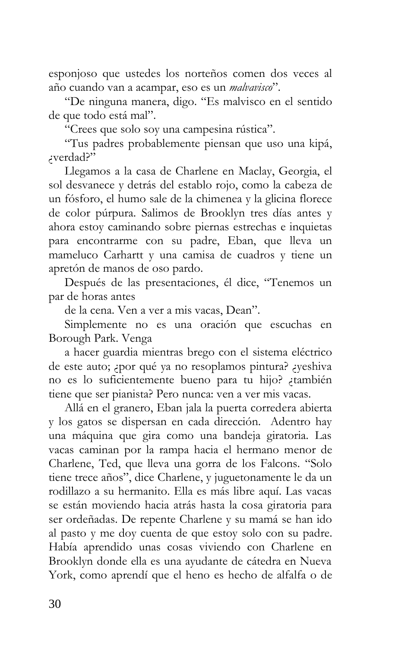esponjoso que ustedes los norteños comen dos veces al año cuando van a acampar, eso es un *malvavisco*".

"De ninguna manera, digo. "Es malvisco en el sentido de que todo está mal".

"Crees que solo soy una campesina rústica".

"Tus padres probablemente piensan que uso una kipá, ¿verdad?"

Llegamos a la casa de Charlene en Maclay, Georgia, el sol desvanece y detrás del establo rojo, como la cabeza de un fósforo, el humo sale de la chimenea y la glicina florece de color púrpura. Salimos de Brooklyn tres días antes y ahora estoy caminando sobre piernas estrechas e inquietas para encontrarme con su padre, Eban, que lleva un mameluco Carhartt y una camisa de cuadros y tiene un apretón de manos de oso pardo.

Después de las presentaciones, él dice, "Tenemos un par de horas antes

de la cena. Ven a ver a mis vacas, Dean".

Simplemente no es una oración que escuchas en Borough Park. Venga

a hacer guardia mientras brego con el sistema eléctrico de este auto; ¿por qué ya no resoplamos pintura? ¿yeshiva no es lo suficientemente bueno para tu hijo? ¿también tiene que ser pianista? Pero nunca: ven a ver mis vacas.

Allá en el granero, Eban jala la puerta corredera abierta y los gatos se dispersan en cada dirección. Adentro hay una máquina que gira como una bandeja giratoria. Las vacas caminan por la rampa hacia el hermano menor de Charlene, Ted, que lleva una gorra de los Falcons. "Solo tiene trece años", dice Charlene, y juguetonamente le da un rodillazo a su hermanito. Ella es más libre aquí. Las vacas se están moviendo hacia atrás hasta la cosa giratoria para ser ordeñadas. De repente Charlene y su mamá se han ido al pasto y me doy cuenta de que estoy solo con su padre. Había aprendido unas cosas viviendo con Charlene en Brooklyn donde ella es una ayudante de cátedra en Nueva York, como aprendí que el heno es hecho de alfalfa o de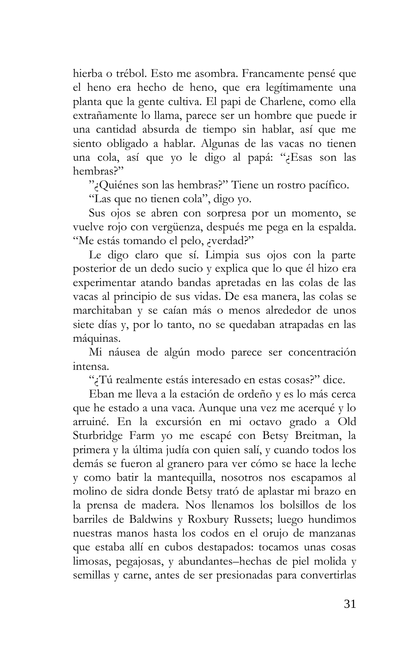hierba o trébol. Esto me asombra. Francamente pensé que el heno era hecho de heno, que era legítimamente una planta que la gente cultiva. El papi de Charlene, como ella extrañamente lo llama, parece ser un hombre que puede ir una cantidad absurda de tiempo sin hablar, así que me siento obligado a hablar. Algunas de las vacas no tienen una cola, así que yo le digo al papá: "¿Esas son las hembras?"

"¿Quiénes son las hembras?" Tiene un rostro pacífico.

"Las que no tienen cola", digo yo.

Sus ojos se abren con sorpresa por un momento, se vuelve rojo con vergüenza, después me pega en la espalda. "Me estás tomando el pelo, ¿verdad?"

Le digo claro que sí. Limpia sus ojos con la parte posterior de un dedo sucio y explica que lo que él hizo era experimentar atando bandas apretadas en las colas de las vacas al principio de sus vidas. De esa manera, las colas se marchitaban y se caían más o menos alrededor de unos siete días y, por lo tanto, no se quedaban atrapadas en las máquinas.

Mi náusea de algún modo parece ser concentración intensa.

"¿Tú realmente estás interesado en estas cosas?" dice.

Eban me lleva a la estación de ordeño y es lo más cerca que he estado a una vaca. Aunque una vez me acerqué y lo arruiné. En la excursión en mi octavo grado a Old Sturbridge Farm yo me escapé con Betsy Breitman, la primera y la última judía con quien salí, y cuando todos los demás se fueron al granero para ver cómo se hace la leche y como batir la mantequilla, nosotros nos escapamos al molino de sidra donde Betsy trató de aplastar mi brazo en la prensa de madera. Nos llenamos los bolsillos de los barriles de Baldwins y Roxbury Russets; luego hundimos nuestras manos hasta los codos en el orujo de manzanas que estaba allí en cubos destapados: tocamos unas cosas limosas, pegajosas, y abundantes–hechas de piel molida y semillas y carne, antes de ser presionadas para convertirlas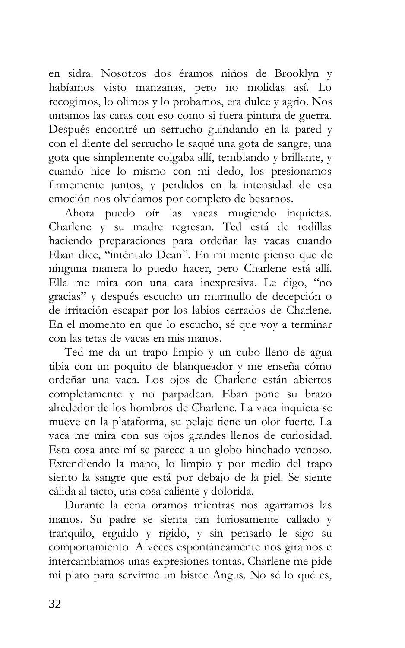en sidra. Nosotros dos éramos niños de Brooklyn y habíamos visto manzanas, pero no molidas así. Lo recogimos, lo olimos y lo probamos, era dulce y agrio. Nos untamos las caras con eso como si fuera pintura de guerra. Después encontré un serrucho guindando en la pared y con el diente del serrucho le saqué una gota de sangre, una gota que simplemente colgaba allí, temblando y brillante, y cuando hice lo mismo con mi dedo, los presionamos firmemente juntos, y perdidos en la intensidad de esa emoción nos olvidamos por completo de besarnos.

Ahora puedo oír las vacas mugiendo inquietas. Charlene y su madre regresan. Ted está de rodillas haciendo preparaciones para ordeñar las vacas cuando Eban dice, "inténtalo Dean". En mi mente pienso que de ninguna manera lo puedo hacer, pero Charlene está allí. Ella me mira con una cara inexpresiva. Le digo, "no gracias" y después escucho un murmullo de decepción o de irritación escapar por los labios cerrados de Charlene. En el momento en que lo escucho, sé que voy a terminar con las tetas de vacas en mis manos.

Ted me da un trapo limpio y un cubo lleno de agua tibia con un poquito de blanqueador y me enseña cómo ordeñar una vaca. Los ojos de Charlene están abiertos completamente y no parpadean. Eban pone su brazo alrededor de los hombros de Charlene. La vaca inquieta se mueve en la plataforma, su pelaje tiene un olor fuerte. La vaca me mira con sus ojos grandes llenos de curiosidad. Esta cosa ante mí se parece a un globo hinchado venoso. Extendiendo la mano, lo limpio y por medio del trapo siento la sangre que está por debajo de la piel. Se siente cálida al tacto, una cosa caliente y dolorida.

Durante la cena oramos mientras nos agarramos las manos. Su padre se sienta tan furiosamente callado y tranquilo, erguido y rígido, y sin pensarlo le sigo su comportamiento. A veces espontáneamente nos giramos e intercambiamos unas expresiones tontas. Charlene me pide mi plato para servirme un bistec Angus. No sé lo qué es,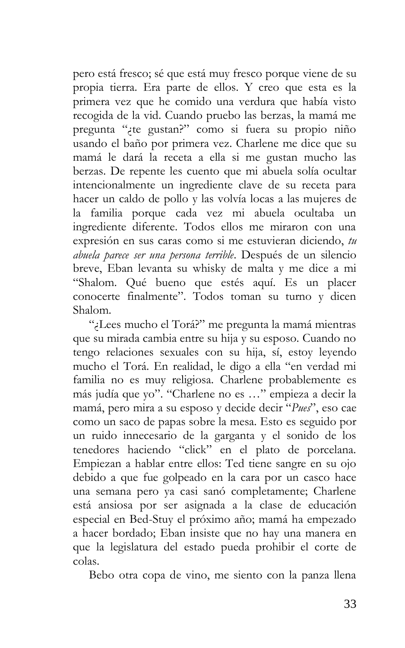pero está fresco; sé que está muy fresco porque viene de su propia tierra. Era parte de ellos. Y creo que esta es la primera vez que he comido una verdura que había visto recogida de la vid. Cuando pruebo las berzas, la mamá me pregunta "¿te gustan?" como si fuera su propio niño usando el baño por primera vez. Charlene me dice que su mamá le dará la receta a ella si me gustan mucho las berzas. De repente les cuento que mi abuela solía ocultar intencionalmente un ingrediente clave de su receta para hacer un caldo de pollo y las volvía locas a las mujeres de la familia porque cada vez mi abuela ocultaba un ingrediente diferente. Todos ellos me miraron con una expresión en sus caras como si me estuvieran diciendo, *tu abuela parece ser una persona terrible*. Después de un silencio breve, Eban levanta su whisky de malta y me dice a mi "Shalom. Qué bueno que estés aquí. Es un placer conocerte finalmente". Todos toman su turno y dicen Shalom.

"¿Lees mucho el Torá?" me pregunta la mamá mientras que su mirada cambia entre su hija y su esposo. Cuando no tengo relaciones sexuales con su hija, sí, estoy leyendo mucho el Torá. En realidad, le digo a ella "en verdad mi familia no es muy religiosa. Charlene probablemente es más judía que yo". "Charlene no es …" empieza a decir la mamá, pero mira a su esposo y decide decir "*Pues*", eso cae como un saco de papas sobre la mesa. Esto es seguido por un ruido innecesario de la garganta y el sonido de los tenedores haciendo "click" en el plato de porcelana. Empiezan a hablar entre ellos: Ted tiene sangre en su ojo debido a que fue golpeado en la cara por un casco hace una semana pero ya casi sanó completamente; Charlene está ansiosa por ser asignada a la clase de educación especial en Bed-Stuy el próximo año; mamá ha empezado a hacer bordado; Eban insiste que no hay una manera en que la legislatura del estado pueda prohibir el corte de colas.

Bebo otra copa de vino, me siento con la panza llena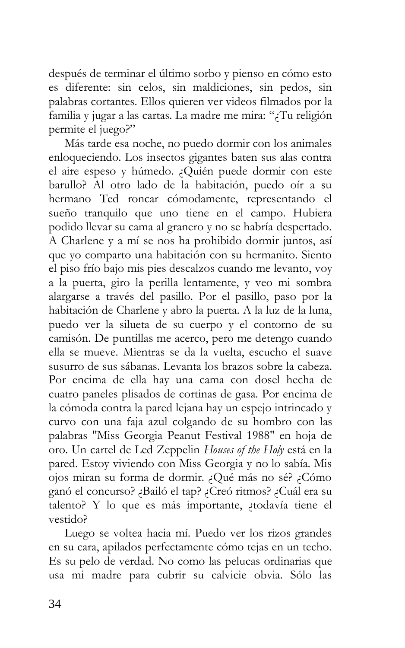después de terminar el último sorbo y pienso en cómo esto es diferente: sin celos, sin maldiciones, sin pedos, sin palabras cortantes. Ellos quieren ver videos filmados por la familia y jugar a las cartas. La madre me mira: "¿Tu religión permite el juego?"

Más tarde esa noche, no puedo dormir con los animales enloqueciendo. Los insectos gigantes baten sus alas contra el aire espeso y húmedo. ¿Quién puede dormir con este barullo? Al otro lado de la habitación, puedo oír a su hermano Ted roncar cómodamente, representando el sueño tranquilo que uno tiene en el campo. Hubiera podido llevar su cama al granero y no se habría despertado. A Charlene y a mí se nos ha prohibido dormir juntos, así que yo comparto una habitación con su hermanito. Siento el piso frío bajo mis pies descalzos cuando me levanto, voy a la puerta, giro la perilla lentamente, y veo mi sombra alargarse a través del pasillo. Por el pasillo, paso por la habitación de Charlene y abro la puerta. A la luz de la luna, puedo ver la silueta de su cuerpo y el contorno de su camisón. De puntillas me acerco, pero me detengo cuando ella se mueve. Mientras se da la vuelta, escucho el suave susurro de sus sábanas. Levanta los brazos sobre la cabeza. Por encima de ella hay una cama con dosel hecha de cuatro paneles plisados de cortinas de gasa. Por encima de la cómoda contra la pared lejana hay un espejo intrincado y curvo con una faja azul colgando de su hombro con las palabras "Miss Georgia Peanut Festival 1988" en hoja de oro. Un cartel de Led Zeppelin *Houses of the Holy* está en la pared. Estoy viviendo con Miss Georgia y no lo sabía. Mis ojos miran su forma de dormir. ¿Qué más no sé? ¿Cómo ganó el concurso? ¿Bailó el tap? ¿Creó ritmos? ¿Cuál era su talento? Y lo que es más importante, ¿todavía tiene el vestido?

Luego se voltea hacia mí. Puedo ver los rizos grandes en su cara, apilados perfectamente cómo tejas en un techo. Es su pelo de verdad. No como las pelucas ordinarias que usa mi madre para cubrir su calvicie obvia. Sólo las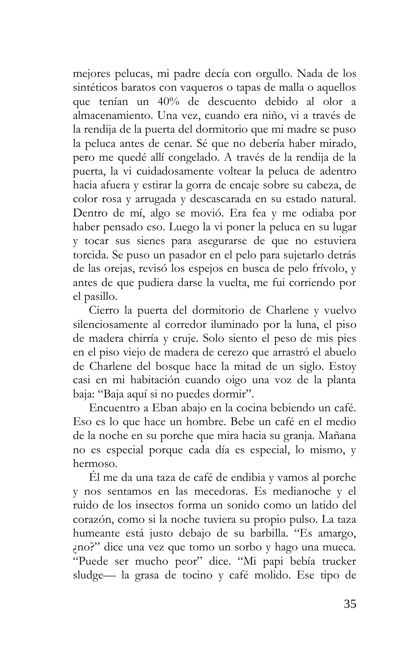mejores pelucas, mi padre decía con orgullo. Nada de los sintéticos baratos con vaqueros o tapas de malla o aquellos que tenían un 40% de descuento debido al olor a almacenamiento. Una vez, cuando era niño, vi a través de la rendija de la puerta del dormitorio que mi madre se puso la peluca antes de cenar. Sé que no debería haber mirado, pero me quedé allí congelado. A través de la rendija de la puerta, la vi cuidadosamente voltear la peluca de adentro hacia afuera y estirar la gorra de encaje sobre su cabeza, de color rosa y arrugada y descascarada en su estado natural. Dentro de mí, algo se movió. Era fea y me odiaba por haber pensado eso. Luego la vi poner la peluca en su lugar y tocar sus sienes para asegurarse de que no estuviera torcida. Se puso un pasador en el pelo para sujetarlo detrás de las orejas, revisó los espejos en busca de pelo frívolo, y antes de que pudiera darse la vuelta, me fui corriendo por el pasillo.

Cierro la puerta del dormitorio de Charlene y vuelvo silenciosamente al corredor iluminado por la luna, el piso de madera chirría y cruje. Solo siento el peso de mis pies en el piso viejo de madera de cerezo que arrastró el abuelo de Charlene del bosque hace la mitad de un siglo. Estoy casi en mi habitación cuando oigo una voz de la planta baja: "Baja aquí si no puedes dormir".

Encuentro a Eban abajo en la cocina bebiendo un café. Eso es lo que hace un hombre. Bebe un café en el medio de la noche en su porche que mira hacia su granja. Mañana no es especial porque cada día es especial, lo mismo, y hermoso.

Él me da una taza de café de endibia y vamos al porche y nos sentamos en las mecedoras. Es medianoche y el ruido de los insectos forma un sonido como un latido del corazón, como si la noche tuviera su propio pulso. La taza humeante está justo debajo de su barbilla. "Es amargo, ¿no?" dice una vez que tomo un sorbo y hago una mueca. "Puede ser mucho peor" dice. "Mi papi bebía trucker sludge— la grasa de tocino y café molido. Ese tipo de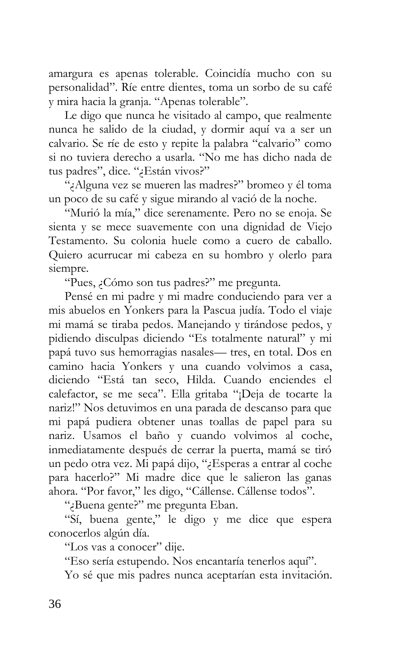amargura es apenas tolerable. Coincidía mucho con su personalidad". Ríe entre dientes, toma un sorbo de su café y mira hacia la granja. "Apenas tolerable".

Le digo que nunca he visitado al campo, que realmente nunca he salido de la ciudad, y dormir aquí va a ser un calvario. Se ríe de esto y repite la palabra "calvario" como si no tuviera derecho a usarla. "No me has dicho nada de tus padres", dice. "¿Están vivos?"

"¿Alguna vez se mueren las madres?" bromeo y él toma un poco de su café y sigue mirando al vació de la noche.

"Murió la mía," dice serenamente. Pero no se enoja. Se sienta y se mece suavemente con una dignidad de Viejo Testamento. Su colonia huele como a cuero de caballo. Quiero acurrucar mi cabeza en su hombro y olerlo para siempre.

"Pues, ¿Cómo son tus padres?" me pregunta.

Pensé en mi padre y mi madre conduciendo para ver a mis abuelos en Yonkers para la Pascua judía. Todo el viaje mi mamá se tiraba pedos. Manejando y tirándose pedos, y pidiendo disculpas diciendo "Es totalmente natural" y mi papá tuvo sus hemorragias nasales— tres, en total. Dos en camino hacia Yonkers y una cuando volvimos a casa, diciendo "Está tan seco, Hilda. Cuando enciendes el calefactor, se me seca". Ella gritaba "¡Deja de tocarte la nariz!" Nos detuvimos en una parada de descanso para que mi papá pudiera obtener unas toallas de papel para su nariz. Usamos el baño y cuando volvimos al coche, inmediatamente después de cerrar la puerta, mamá se tiró un pedo otra vez. Mi papá dijo, "¿Esperas a entrar al coche para hacerlo?" Mi madre dice que le salieron las ganas ahora. "Por favor," les digo, "Cállense. Cállense todos".

"¿Buena gente?" me pregunta Eban.

"Sí, buena gente," le digo y me dice que espera conocerlos algún día.

"Los vas a conocer" dije.

"Eso sería estupendo. Nos encantaría tenerlos aquí".

Yo sé que mis padres nunca aceptarían esta invitación.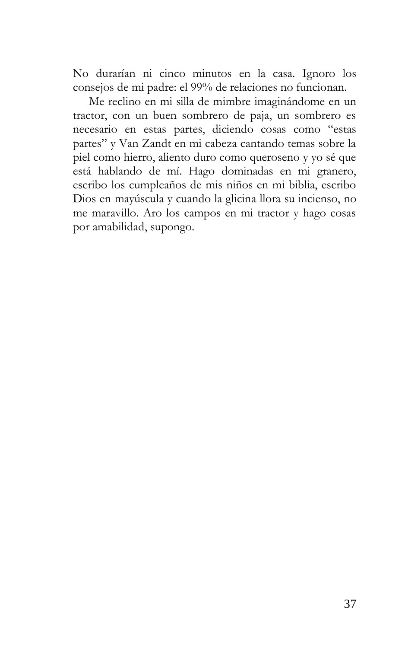No durarían ni cinco minutos en la casa. Ignoro los consejos de mi padre: el 99% de relaciones no funcionan.

Me reclino en mi silla de mimbre imaginándome en un tractor, con un buen sombrero de paja, un sombrero es necesario en estas partes, diciendo cosas como "estas partes" y Van Zandt en mi cabeza cantando temas sobre la piel como hierro, aliento duro como queroseno y yo sé que está hablando de mí. Hago dominadas en mi granero, escribo los cumpleaños de mis niños en mi biblia, escribo Dios en mayúscula y cuando la glicina llora su incienso, no me maravillo. Aro los campos en mi tractor y hago cosas por amabilidad, supongo.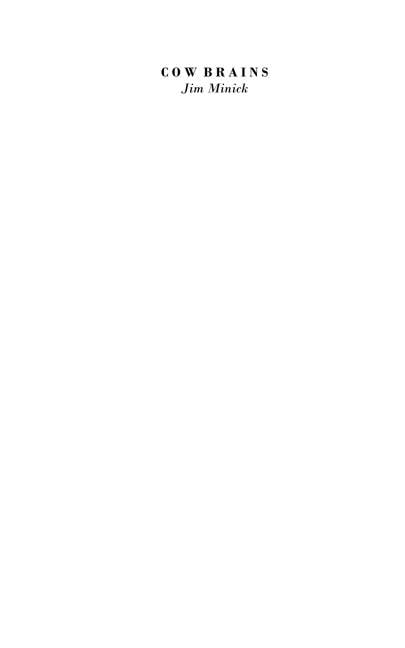# **C O W B R A I N S** *Jim Minick*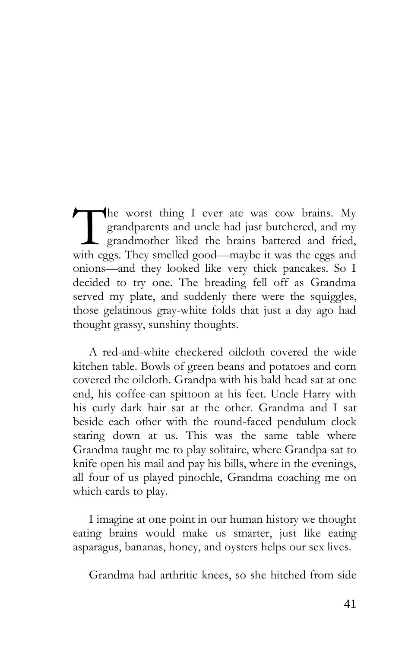he worst thing I ever ate was cow brains. My grandparents and uncle had just butchered, and my  $\perp$  grandmother liked the brains battered and fried, The worst thing I ever ate was cow brains. My grandparents and uncle had just butchered, and my grandmother liked the brains battered and fried, with eggs. They smelled good—maybe it was the eggs and onions—and they looked like very thick pancakes. So I decided to try one. The breading fell off as Grandma served my plate, and suddenly there were the squiggles, those gelatinous gray-white folds that just a day ago had thought grassy, sunshiny thoughts.

A red-and-white checkered oilcloth covered the wide kitchen table. Bowls of green beans and potatoes and corn covered the oilcloth. Grandpa with his bald head sat at one end, his coffee-can spittoon at his feet. Uncle Harry with his curly dark hair sat at the other. Grandma and I sat beside each other with the round-faced pendulum clock staring down at us. This was the same table where Grandma taught me to play solitaire, where Grandpa sat to knife open his mail and pay his bills, where in the evenings, all four of us played pinochle, Grandma coaching me on which cards to play.

I imagine at one point in our human history we thought eating brains would make us smarter, just like eating asparagus, bananas, honey, and oysters helps our sex lives.

Grandma had arthritic knees, so she hitched from side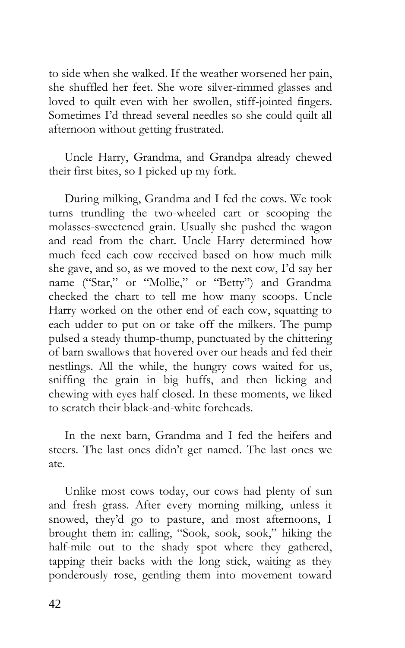to side when she walked. If the weather worsened her pain, she shuffled her feet. She wore silver-rimmed glasses and loved to quilt even with her swollen, stiff-jointed fingers. Sometimes I'd thread several needles so she could quilt all afternoon without getting frustrated.

Uncle Harry, Grandma, and Grandpa already chewed their first bites, so I picked up my fork.

During milking, Grandma and I fed the cows. We took turns trundling the two-wheeled cart or scooping the molasses-sweetened grain. Usually she pushed the wagon and read from the chart. Uncle Harry determined how much feed each cow received based on how much milk she gave, and so, as we moved to the next cow, I'd say her name ("Star," or "Mollie," or "Betty") and Grandma checked the chart to tell me how many scoops. Uncle Harry worked on the other end of each cow, squatting to each udder to put on or take off the milkers. The pump pulsed a steady thump-thump, punctuated by the chittering of barn swallows that hovered over our heads and fed their nestlings. All the while, the hungry cows waited for us, sniffing the grain in big huffs, and then licking and chewing with eyes half closed. In these moments, we liked to scratch their black-and-white foreheads.

In the next barn, Grandma and I fed the heifers and steers. The last ones didn't get named. The last ones we ate.

Unlike most cows today, our cows had plenty of sun and fresh grass. After every morning milking, unless it snowed, they'd go to pasture, and most afternoons, I brought them in: calling, "Sook, sook, sook," hiking the half-mile out to the shady spot where they gathered, tapping their backs with the long stick, waiting as they ponderously rose, gentling them into movement toward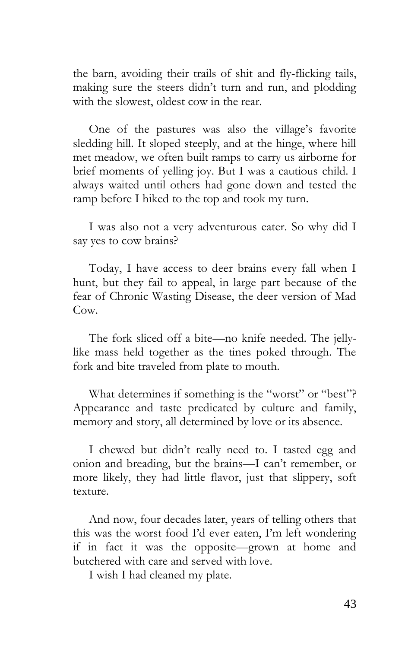the barn, avoiding their trails of shit and fly-flicking tails, making sure the steers didn't turn and run, and plodding with the slowest, oldest cow in the rear.

One of the pastures was also the village's favorite sledding hill. It sloped steeply, and at the hinge, where hill met meadow, we often built ramps to carry us airborne for brief moments of yelling joy. But I was a cautious child. I always waited until others had gone down and tested the ramp before I hiked to the top and took my turn.

I was also not a very adventurous eater. So why did I say yes to cow brains?

Today, I have access to deer brains every fall when I hunt, but they fail to appeal, in large part because of the fear of Chronic Wasting Disease, the deer version of Mad Cow.

The fork sliced off a bite—no knife needed. The jellylike mass held together as the tines poked through. The fork and bite traveled from plate to mouth.

What determines if something is the "worst" or "best"? Appearance and taste predicated by culture and family, memory and story, all determined by love or its absence.

I chewed but didn't really need to. I tasted egg and onion and breading, but the brains—I can't remember, or more likely, they had little flavor, just that slippery, soft texture.

And now, four decades later, years of telling others that this was the worst food I'd ever eaten, I'm left wondering if in fact it was the opposite—grown at home and butchered with care and served with love.

I wish I had cleaned my plate.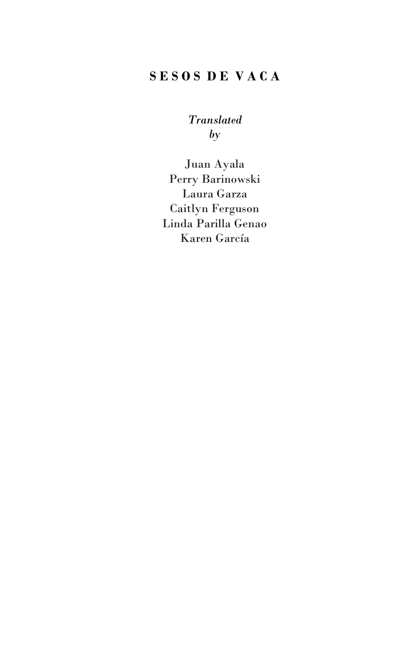# **S E S O S D E V A C A**

*Translated by*

Juan Ayala Perry Barinowski Laura Garza Caitlyn Ferguson Linda Parilla Genao Karen García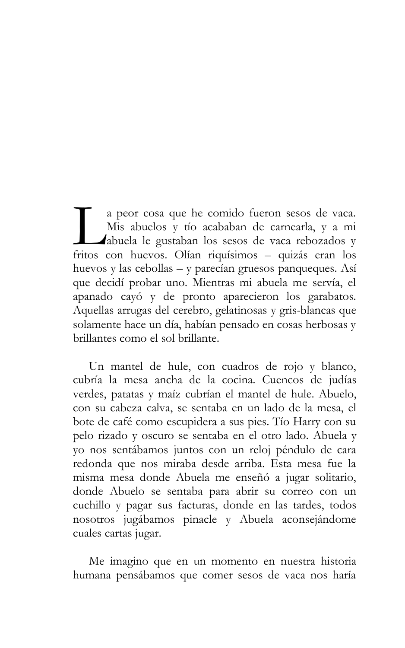a peor cosa que he comido fueron sesos de vaca. Mis abuelos y tío acababan de carnearla, y a mi abuela le gustaban los sesos de vaca rebozados y a peor cosa que he comido fueron sesos de vaca.<br>Mis abuelos y tío acababan de carnearla, y a mi<br>Abuela le gustaban los sesos de vaca rebozados y<br>fritos con huevos. Olían riquísimos – quizás eran los huevos y las cebollas – y parecían gruesos panqueques. Así que decidí probar uno. Mientras mi abuela me servía, el apanado cayó y de pronto aparecieron los garabatos. Aquellas arrugas del cerebro, gelatinosas y gris-blancas que solamente hace un día, habían pensado en cosas herbosas y brillantes como el sol brillante.

Un mantel de hule, con cuadros de rojo y blanco, cubría la mesa ancha de la cocina. Cuencos de judías verdes, patatas y maíz cubrían el mantel de hule. Abuelo, con su cabeza calva, se sentaba en un lado de la mesa, el bote de café como escupidera a sus pies. Tío Harry con su pelo rizado y oscuro se sentaba en el otro lado. Abuela y yo nos sentábamos juntos con un reloj péndulo de cara redonda que nos miraba desde arriba. Esta mesa fue la misma mesa donde Abuela me enseñó a jugar solitario, donde Abuelo se sentaba para abrir su correo con un cuchillo y pagar sus facturas, donde en las tardes, todos nosotros jugábamos pinacle y Abuela aconsejándome cuales cartas jugar.

Me imagino que en un momento en nuestra historia humana pensábamos que comer sesos de vaca nos haría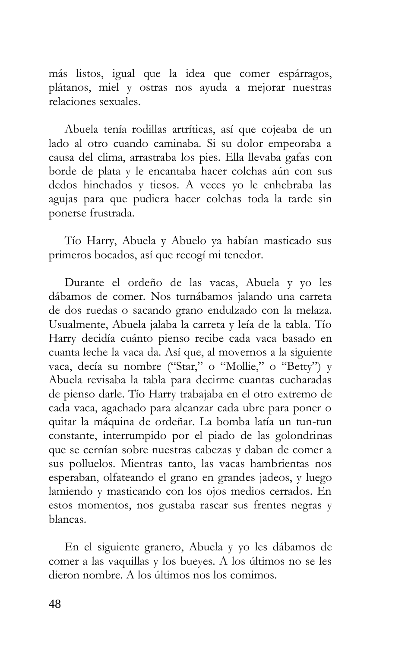más listos, igual que la idea que comer espárragos, plátanos, miel y ostras nos ayuda a mejorar nuestras relaciones sexuales.

Abuela tenía rodillas artríticas, así que cojeaba de un lado al otro cuando caminaba. Si su dolor empeoraba a causa del clima, arrastraba los pies. Ella llevaba gafas con borde de plata y le encantaba hacer colchas aún con sus dedos hinchados y tiesos. A veces yo le enhebraba las agujas para que pudiera hacer colchas toda la tarde sin ponerse frustrada.

Tío Harry, Abuela y Abuelo ya habían masticado sus primeros bocados, así que recogí mi tenedor.

Durante el ordeño de las vacas, Abuela y yo les dábamos de comer. Nos turnábamos jalando una carreta de dos ruedas o sacando grano endulzado con la melaza. Usualmente, Abuela jalaba la carreta y leía de la tabla. Tío Harry decidía cuánto pienso recibe cada vaca basado en cuanta leche la vaca da. Así que, al movernos a la siguiente vaca, decía su nombre ("Star," o "Mollie," o "Betty") y Abuela revisaba la tabla para decirme cuantas cucharadas de pienso darle. Tío Harry trabajaba en el otro extremo de cada vaca, agachado para alcanzar cada ubre para poner o quitar la máquina de ordeñar. La bomba latía un tun-tun constante, interrumpido por el piado de las golondrinas que se cernían sobre nuestras cabezas y daban de comer a sus polluelos. Mientras tanto, las vacas hambrientas nos esperaban, olfateando el grano en grandes jadeos, y luego lamiendo y masticando con los ojos medios cerrados. En estos momentos, nos gustaba rascar sus frentes negras y blancas.

En el siguiente granero, Abuela y yo les dábamos de comer a las vaquillas y los bueyes. A los últimos no se les dieron nombre. A los últimos nos los comimos.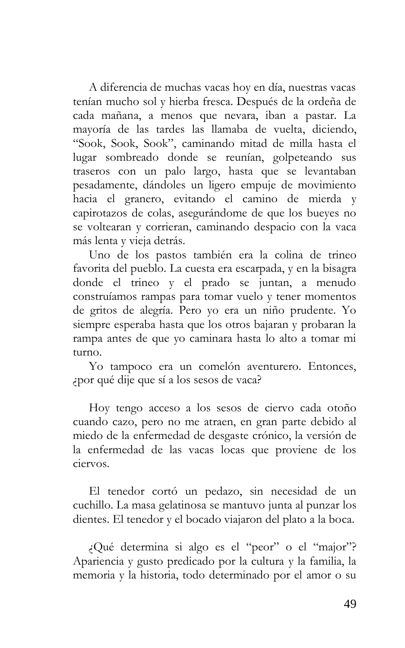A diferencia de muchas vacas hoy en día, nuestras vacas tenían mucho sol y hierba fresca. Después de la ordeña de cada mañana, a menos que nevara, iban a pastar. La mayoría de las tardes las llamaba de vuelta, diciendo, "Sook, Sook, Sook", caminando mitad de milla hasta el lugar sombreado donde se reunían, golpeteando sus traseros con un palo largo, hasta que se levantaban pesadamente, dándoles un ligero empuje de movimiento hacia el granero, evitando el camino de mierda y capirotazos de colas, asegurándome de que los bueyes no se voltearan y corrieran, caminando despacio con la vaca más lenta y vieja detrás.

Uno de los pastos también era la colina de trineo favorita del pueblo. La cuesta era escarpada, y en la bisagra donde el trineo y el prado se juntan, a menudo construíamos rampas para tomar vuelo y tener momentos de gritos de alegría. Pero yo era un niño prudente. Yo siempre esperaba hasta que los otros bajaran y probaran la rampa antes de que yo caminara hasta lo alto a tomar mi turno.

Yo tampoco era un comelón aventurero. Entonces, ¿por qué dije que sí a los sesos de vaca?

Hoy tengo acceso a los sesos de ciervo cada otoño cuando cazo, pero no me atraen, en gran parte debido al miedo de la enfermedad de desgaste crónico, la versión de la enfermedad de las vacas locas que proviene de los ciervos.

El tenedor cortó un pedazo, sin necesidad de un cuchillo. La masa gelatinosa se mantuvo junta al punzar los dientes. El tenedor y el bocado viajaron del plato a la boca.

¿Qué determina si algo es el "peor" o el "major"? Apariencia y gusto predicado por la cultura y la familia, la memoria y la historia, todo determinado por el amor o su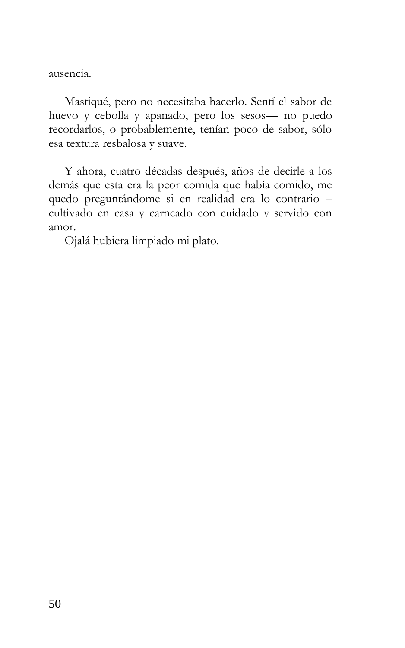ausencia.

Mastiqué, pero no necesitaba hacerlo. Sentí el sabor de huevo y cebolla y apanado, pero los sesos— no puedo recordarlos, o probablemente, tenían poco de sabor, sólo esa textura resbalosa y suave.

Y ahora, cuatro décadas después, años de decirle a los demás que esta era la peor comida que había comido, me quedo preguntándome si en realidad era lo contrario – cultivado en casa y carneado con cuidado y servido con amor.

Ojalá hubiera limpiado mi plato.